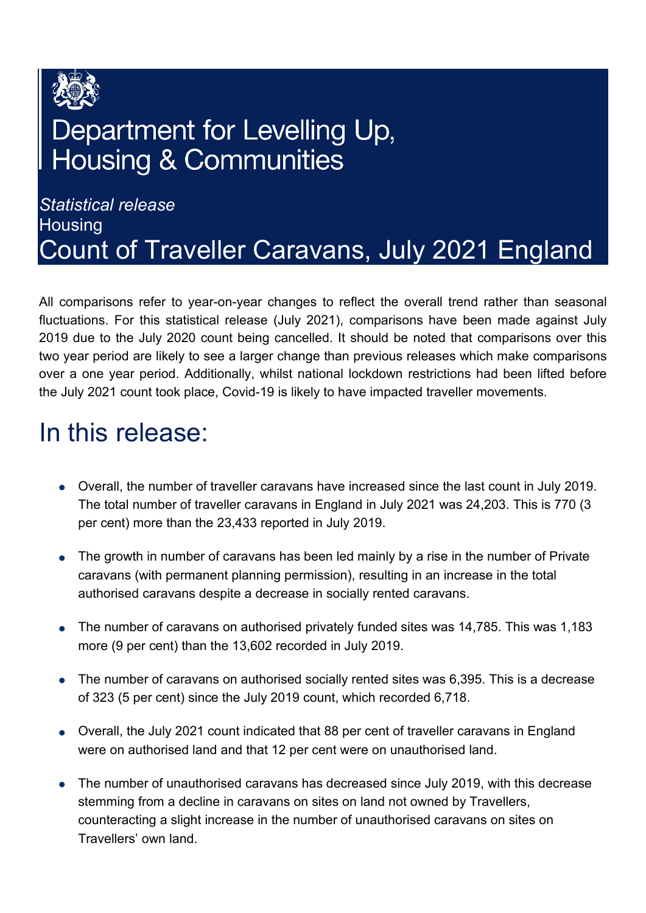

## Department for Levelling Up, **Housing & Communities**

### *Statistical release*  **Housing** Count of Traveller Caravans, July 2021 England

All comparisons refer to year-on-year changes to reflect the overall trend rather than seasonal fluctuations. For this statistical release (July 2021), comparisons have been made against July 2019 due to the July 2020 count being cancelled. It should be noted that comparisons over this two year period are likely to see a larger change than previous releases which make comparisons over a one year period. Additionally, whilst national lockdown restrictions had been lifted before the July 2021 count took place, Covid-19 is likely to have impacted traveller movements.

### <span id="page-0-0"></span>In this release:

- Overall, the number of traveller caravans have increased since the last count in July 2019. The total number of traveller caravans in England in July 2021 was 24,203. This is 770 (3 per cent) more than the 23,433 reported in July 2019.
- The growth in number of caravans has been led mainly by a rise in the number of Private caravans (with permanent planning permission), resulting in an increase in the total authorised caravans despite a decrease in socially rented caravans.
- The number of caravans on authorised privately funded sites was 14,785. This was 1,183 more (9 per cent) than the 13,602 recorded in July 2019.
- The number of caravans on authorised socially rented sites was 6,395. This is a decrease of 323 (5 per cent) since the July 2019 count, which recorded 6,718.
- Overall, the July 2021 count indicated that 88 per cent of traveller caravans in England were on authorised land and that 12 per cent were on unauthorised land.
- The number of unauthorised caravans has decreased since July 2019, with this decrease stemming from a decline in caravans on sites on land not owned by Travellers, counteracting a slight increase in the number of unauthorised caravans on sites on Travellers' own land.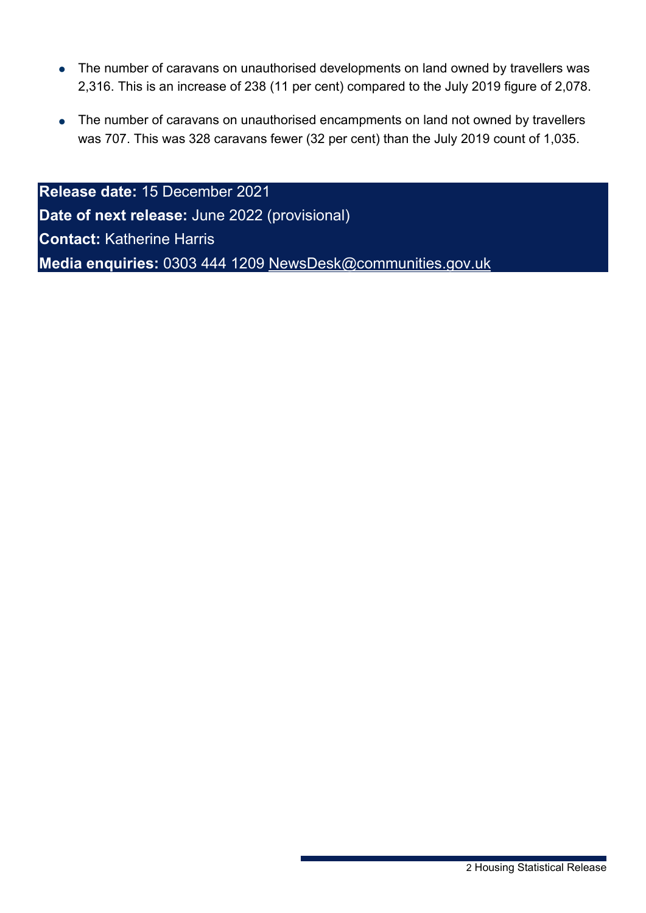- The number of caravans on unauthorised developments on land owned by travellers was 2,316. This is an increase of 238 (11 per cent) compared to the July 2019 figure of 2,078.
- The number of caravans on unauthorised encampments on land not owned by travellers was 707. This was 328 caravans fewer (32 per cent) than the July 2019 count of 1,035.

**Release date:** 15 December 2021 **Date of next release:** June 2022 (provisional) **Contact:** Katherine Harris **Media enquiries:** 0303 444 1209 [NewsDesk@communities.gov.uk](mailto:NewsDesk@communities.gov.uk)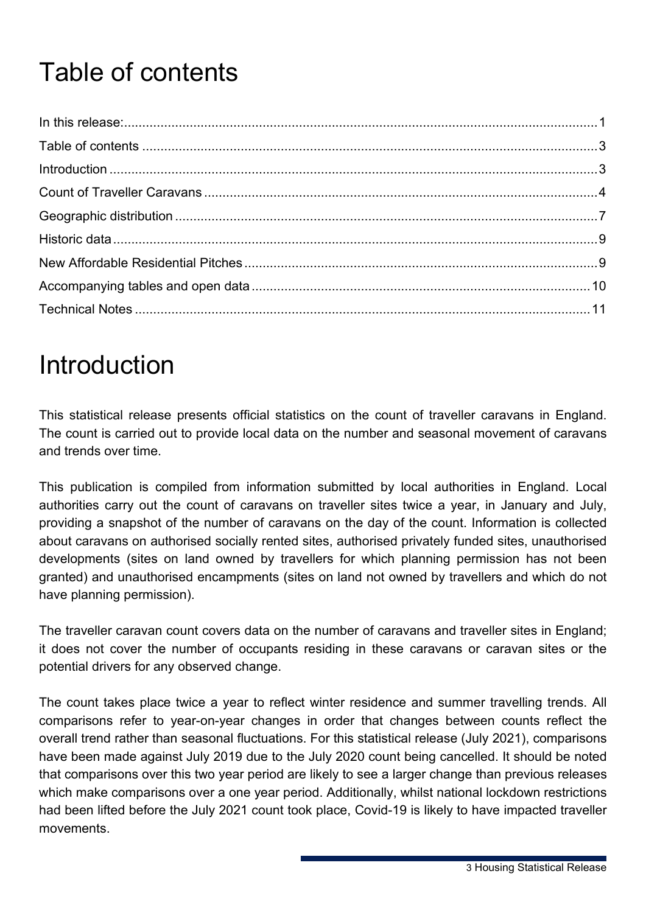# <span id="page-2-0"></span>Table of contents

## <span id="page-2-1"></span>**Introduction**

This statistical release presents official statistics on the count of traveller caravans in England. The count is carried out to provide local data on the number and seasonal movement of caravans and trends over time.

This publication is compiled from information submitted by local authorities in England. Local authorities carry out the count of caravans on traveller sites twice a year, in January and July, providing a snapshot of the number of caravans on the day of the count. Information is collected about caravans on authorised socially rented sites, authorised privately funded sites, unauthorised developments (sites on land owned by travellers for which planning permission has not been granted) and unauthorised encampments (sites on land not owned by travellers and which do not have planning permission).

The traveller caravan count covers data on the number of caravans and traveller sites in England; it does not cover the number of occupants residing in these caravans or caravan sites or the potential drivers for any observed change.

The count takes place twice a year to reflect winter residence and summer travelling trends. All comparisons refer to year-on-year changes in order that changes between counts reflect the overall trend rather than seasonal fluctuations. For this statistical release (July 2021), comparisons have been made against July 2019 due to the July 2020 count being cancelled. It should be noted that comparisons over this two year period are likely to see a larger change than previous releases which make comparisons over a one year period. Additionally, whilst national lockdown restrictions had been lifted before the July 2021 count took place, Covid-19 is likely to have impacted traveller movements.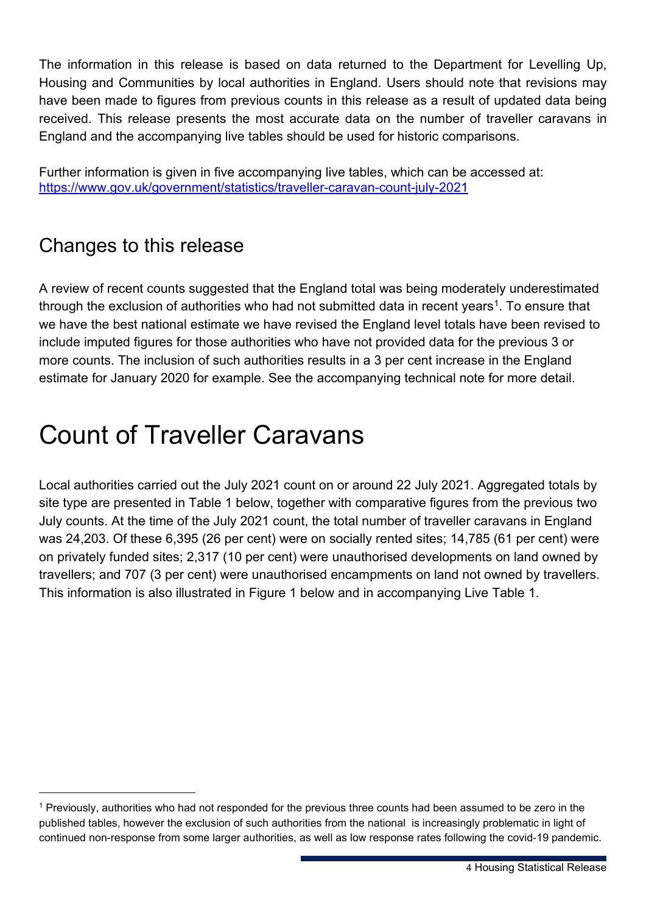The information in this release is based on data returned to the Department for Levelling Up, Housing and Communities by local authorities in England. Users should note that revisions may have been made to figures from previous counts in this release as a result of updated data being received. This release presents the most accurate data on the number of traveller caravans in England and the accompanying live tables should be used for historic comparisons.

Further information is given in five accompanying live tables, which can be accessed at: <https://www.gov.uk/government/statistics/traveller-caravan-count-july-2021>

### Changes to this release

A review of recent counts suggested that the England total was being moderately underestimated through the exclusion of authorities who had not submitted data in recent vears<sup>1</sup>. To ensure that we have the best national estimate we have revised the England level totals have been revised to include imputed figures for those authorities who have not provided data for the previous 3 or more counts. The inclusion of such authorities results in a 3 per cent increase in the England estimate for January 2020 for example. See the accompanying technical note for more detail.

# <span id="page-3-0"></span>Count of Traveller Caravans

Local authorities carried out the July 2021 count on or around 22 July 2021. Aggregated totals by site type are presented in Table 1 below, together with comparative figures from the previous two July counts. At the time of the July 2021 count, the total number of traveller caravans in England was 24,203. Of these 6,395 (26 per cent) were on socially rented sites; 14,785 (61 per cent) were on privately funded sites; 2,317 (10 per cent) were unauthorised developments on land owned by travellers; and 707 (3 per cent) were unauthorised encampments on land not owned by travellers. This information is also illustrated in Figure 1 below and in accompanying Live Table 1.

<span id="page-3-1"></span><sup>1</sup> Previously, authorities who had not responded for the previous three counts had been assumed to be zero in the published tables, however the exclusion of such authorities from the national is increasingly problematic in light of continued non-response from some larger authorities, as well as low response rates following the covid-19 pandemic.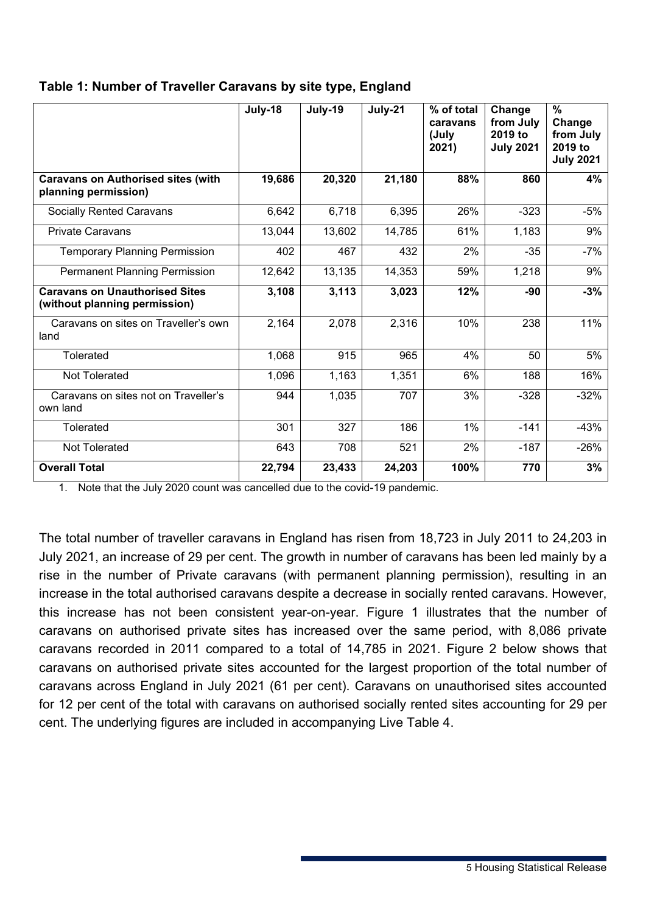|                                                                        | July-18 | July-19 | July-21 | % of total<br>caravans<br>(July<br>2021) | Change<br>from July<br>2019 to<br><b>July 2021</b> | $\%$<br>Change<br>from July<br>2019 to<br><b>July 2021</b> |
|------------------------------------------------------------------------|---------|---------|---------|------------------------------------------|----------------------------------------------------|------------------------------------------------------------|
| <b>Caravans on Authorised sites (with</b><br>planning permission)      | 19,686  | 20,320  | 21,180  | 88%                                      | 860                                                | 4%                                                         |
| <b>Socially Rented Caravans</b>                                        | 6,642   | 6,718   | 6,395   | 26%                                      | $-323$                                             | $-5%$                                                      |
| <b>Private Caravans</b>                                                | 13,044  | 13,602  | 14,785  | 61%                                      | 1,183                                              | 9%                                                         |
| <b>Temporary Planning Permission</b>                                   | 402     | 467     | 432     | 2%                                       | $-35$                                              | $-7%$                                                      |
| <b>Permanent Planning Permission</b>                                   | 12,642  | 13,135  | 14,353  | 59%                                      | 1,218                                              | 9%                                                         |
| <b>Caravans on Unauthorised Sites</b><br>(without planning permission) | 3,108   | 3,113   | 3,023   | 12%                                      | -90                                                | $-3%$                                                      |
| Caravans on sites on Traveller's own<br>land                           | 2,164   | 2,078   | 2,316   | 10%                                      | 238                                                | 11%                                                        |
| Tolerated                                                              | 1,068   | 915     | 965     | 4%                                       | 50                                                 | 5%                                                         |
| <b>Not Tolerated</b>                                                   | 1,096   | 1,163   | 1,351   | 6%                                       | 188                                                | 16%                                                        |
| Caravans on sites not on Traveller's<br>own land                       | 944     | 1,035   | 707     | 3%                                       | $-328$                                             | $-32%$                                                     |
| Tolerated                                                              | 301     | 327     | 186     | 1%                                       | $-141$                                             | $-43%$                                                     |
| <b>Not Tolerated</b>                                                   | 643     | 708     | 521     | 2%                                       | $-187$                                             | $-26%$                                                     |
| <b>Overall Total</b>                                                   | 22,794  | 23,433  | 24,203  | 100%                                     | 770                                                | 3%                                                         |

#### **Table 1: Number of Traveller Caravans by site type, England**

1. Note that the July 2020 count was cancelled due to the covid-19 pandemic.

The total number of traveller caravans in England has risen from 18,723 in July 2011 to 24,203 in July 2021, an increase of 29 per cent. The growth in number of caravans has been led mainly by a rise in the number of Private caravans (with permanent planning permission), resulting in an increase in the total authorised caravans despite a decrease in socially rented caravans. However, this increase has not been consistent year-on-year. Figure 1 illustrates that the number of caravans on authorised private sites has increased over the same period, with 8,086 private caravans recorded in 2011 compared to a total of 14,785 in 2021. Figure 2 below shows that caravans on authorised private sites accounted for the largest proportion of the total number of caravans across England in July 2021 (61 per cent). Caravans on unauthorised sites accounted for 12 per cent of the total with caravans on authorised socially rented sites accounting for 29 per cent. The underlying figures are included in accompanying Live Table 4.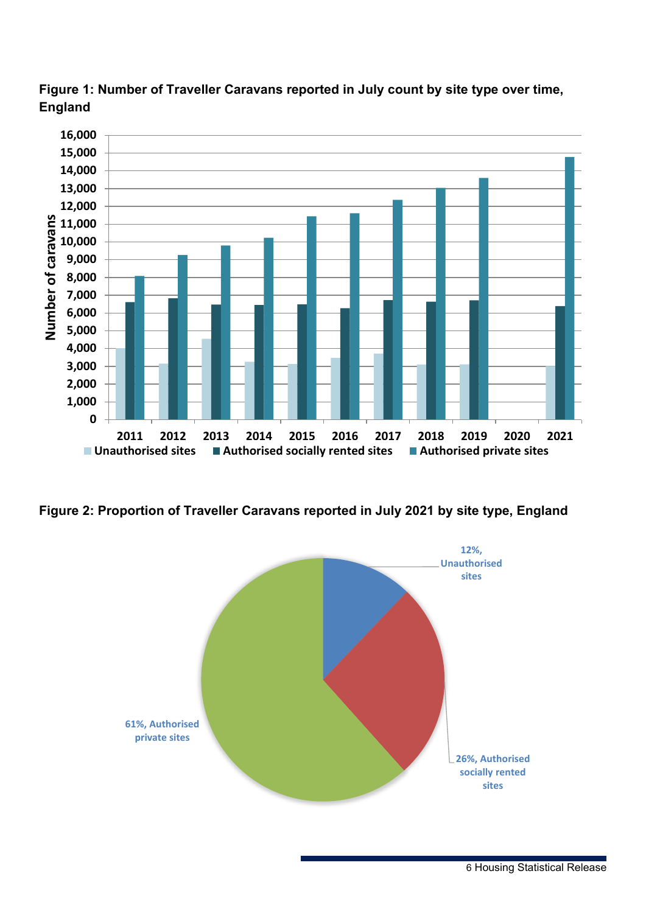



**Figure 2: Proportion of Traveller Caravans reported in July 2021 by site type, England** 

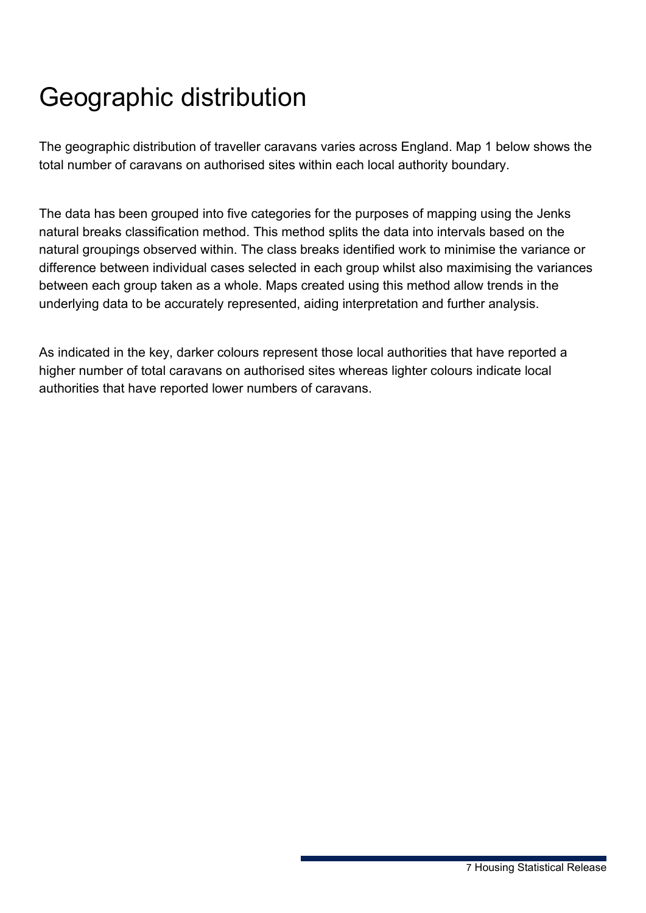# <span id="page-6-0"></span>Geographic distribution

The geographic distribution of traveller caravans varies across England. Map 1 below shows the total number of caravans on authorised sites within each local authority boundary.

The data has been grouped into five categories for the purposes of mapping using the Jenks natural breaks classification method. This method splits the data into intervals based on the natural groupings observed within. The class breaks identified work to minimise the variance or difference between individual cases selected in each group whilst also maximising the variances between each group taken as a whole. Maps created using this method allow trends in the underlying data to be accurately represented, aiding interpretation and further analysis.

As indicated in the key, darker colours represent those local authorities that have reported a higher number of total caravans on authorised sites whereas lighter colours indicate local authorities that have reported lower numbers of caravans.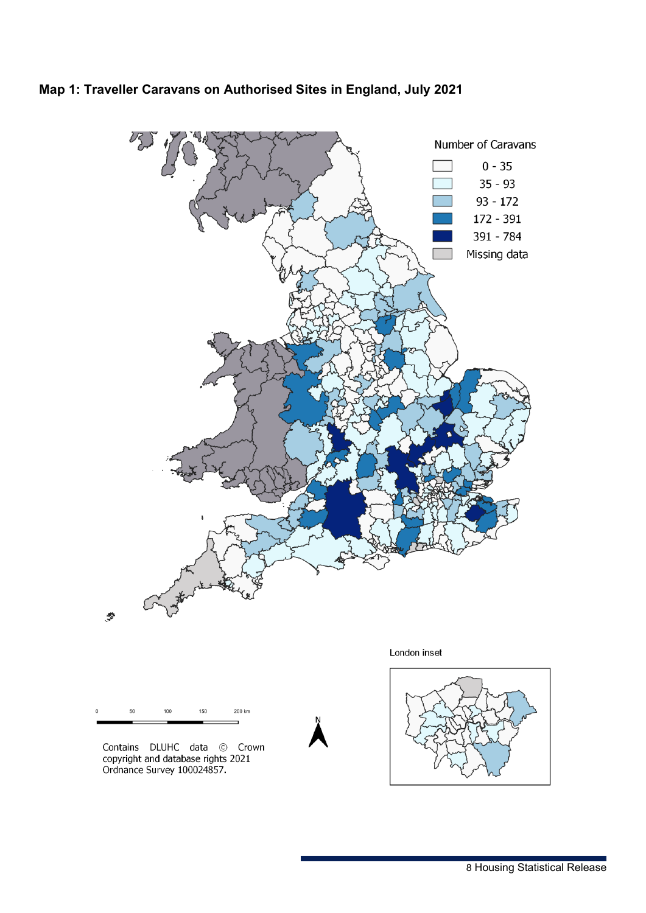

#### **Map 1: Traveller Caravans on Authorised Sites in England, July 2021**



Contains DLUHC data © Crown<br>copyright and database rights 2021<br>Ordnance Survey 100024857.

London inset

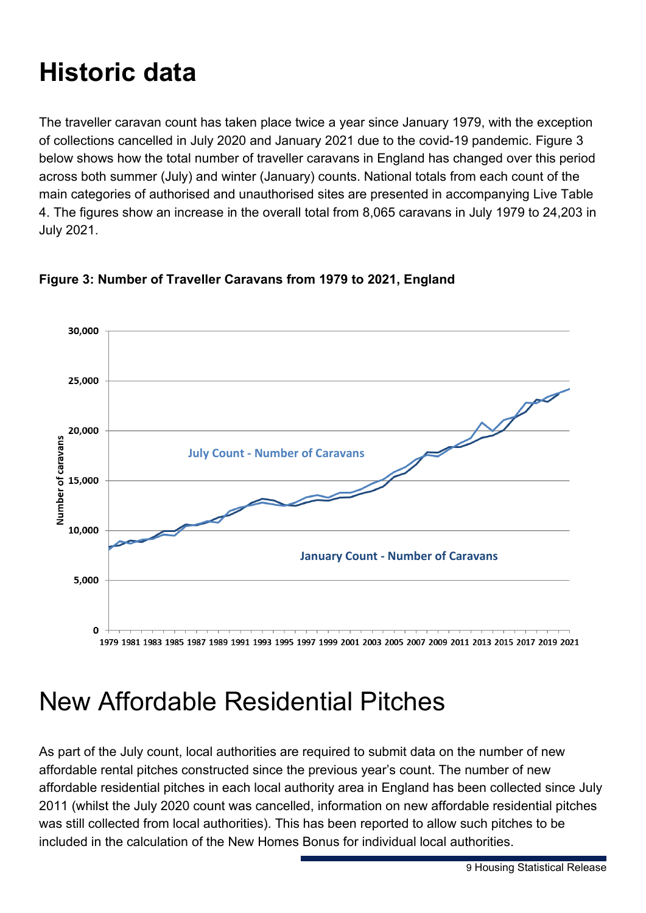# <span id="page-8-0"></span>**Historic data**

The traveller caravan count has taken place twice a year since January 1979, with the exception of collections cancelled in July 2020 and January 2021 due to the covid-19 pandemic. Figure 3 below shows how the total number of traveller caravans in England has changed over this period across both summer (July) and winter (January) counts. National totals from each count of the main categories of authorised and unauthorised sites are presented in accompanying Live Table 4. The figures show an increase in the overall total from 8,065 caravans in July 1979 to 24,203 in July 2021.



#### **Figure 3: Number of Traveller Caravans from 1979 to 2021, England**

## <span id="page-8-1"></span>New Affordable Residential Pitches

As part of the July count, local authorities are required to submit data on the number of new affordable rental pitches constructed since the previous year's count. The number of new affordable residential pitches in each local authority area in England has been collected since July 2011 (whilst the July 2020 count was cancelled, information on new affordable residential pitches was still collected from local authorities). This has been reported to allow such pitches to be included in the calculation of the New Homes Bonus for individual local authorities.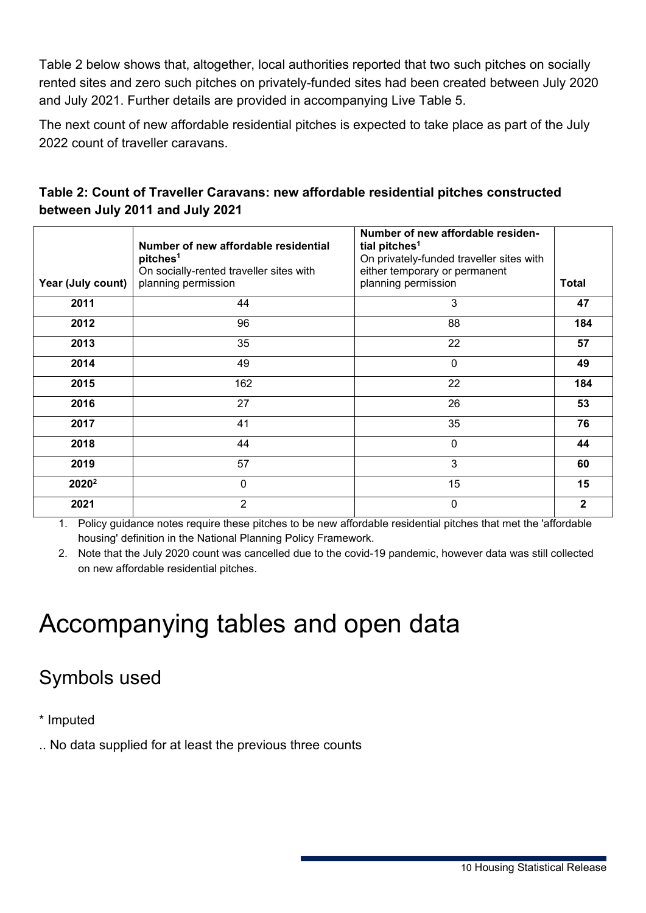Table 2 below shows that, altogether, local authorities reported that two such pitches on socially rented sites and zero such pitches on privately-funded sites had been created between July 2020 and July 2021. Further details are provided in accompanying Live Table 5.

The next count of new affordable residential pitches is expected to take place as part of the July 2022 count of traveller caravans.

|                   | Number of new affordable residential<br>pitches <sup>1</sup> | Number of new affordable residen-<br>tial pitches <sup>1</sup><br>On privately-funded traveller sites with |              |
|-------------------|--------------------------------------------------------------|------------------------------------------------------------------------------------------------------------|--------------|
|                   | On socially-rented traveller sites with                      | either temporary or permanent                                                                              |              |
| Year (July count) | planning permission                                          | planning permission                                                                                        | Total        |
| 2011              | 44                                                           | 3                                                                                                          | 47           |
| 2012              | 96                                                           | 88                                                                                                         | 184          |
| 2013              | 35                                                           | 22                                                                                                         | 57           |
| 2014              | 49                                                           | 0                                                                                                          | 49           |
| 2015              | 162                                                          | 22                                                                                                         | 184          |
| 2016              | 27                                                           | 26                                                                                                         | 53           |
| 2017              | 41                                                           | 35                                                                                                         | 76           |
| 2018              | 44                                                           | 0                                                                                                          | 44           |
| 2019              | 57                                                           | 3                                                                                                          | 60           |
| 2020 <sup>2</sup> | 0                                                            | 15                                                                                                         | 15           |
| 2021              | $\overline{2}$                                               | 0                                                                                                          | $\mathbf{2}$ |

#### **Table 2: Count of Traveller Caravans: new affordable residential pitches constructed between July 2011 and July 2021**

1. Policy guidance notes require these pitches to be new affordable residential pitches that met the 'affordable housing' definition in the National Planning Policy Framework.

2. Note that the July 2020 count was cancelled due to the covid-19 pandemic, however data was still collected on new affordable residential pitches.

## <span id="page-9-0"></span>Accompanying tables and open data

### Symbols used

\* Imputed

.. No data supplied for at least the previous three counts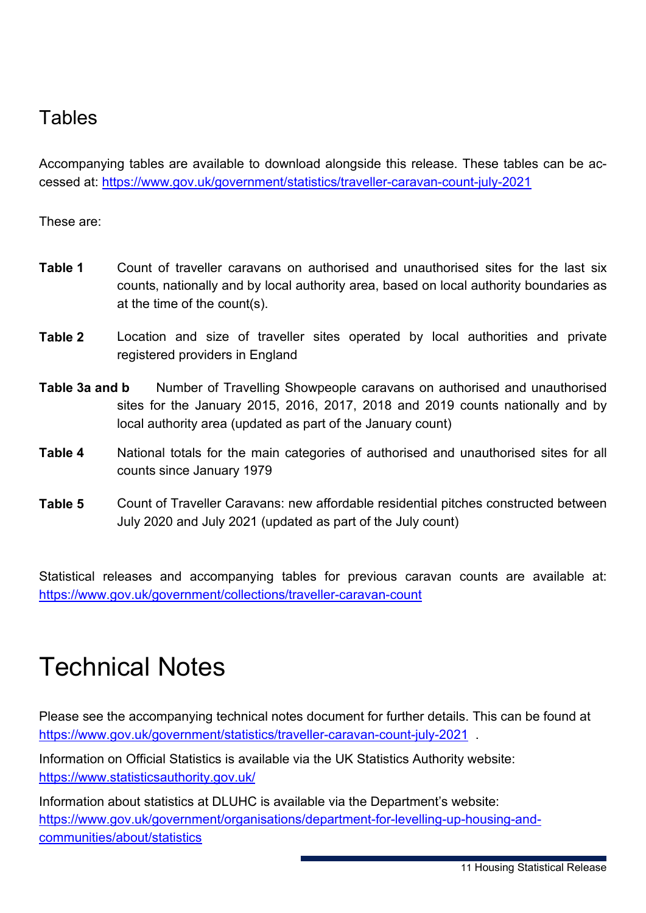### **Tables**

Accompanying tables are available to download alongside this release. These tables can be accessed at: <https://www.gov.uk/government/statistics/traveller-caravan-count-july-2021>

These are:

- **Table 1** Count of traveller caravans on authorised and unauthorised sites for the last six counts, nationally and by local authority area, based on local authority boundaries as at the time of the count(s).
- **Table 2** Location and size of traveller sites operated by local authorities and private registered providers in England
- **Table 3a and b** Number of Travelling Showpeople caravans on authorised and unauthorised sites for the January 2015, 2016, 2017, 2018 and 2019 counts nationally and by local authority area (updated as part of the January count)
- **Table 4** National totals for the main categories of authorised and unauthorised sites for all counts since January 1979
- **Table 5** Count of Traveller Caravans: new affordable residential pitches constructed between July 2020 and July 2021 (updated as part of the July count)

Statistical releases and accompanying tables for previous caravan counts are available at: <https://www.gov.uk/government/collections/traveller-caravan-count>

## <span id="page-10-0"></span>Technical Notes

Please see the accompanying technical notes document for further details. This can be found at <https://www.gov.uk/government/statistics/traveller-caravan-count-july-2021>.

Information on Official Statistics is available via the UK Statistics Authority website: <https://www.statisticsauthority.gov.uk/>

Information about statistics at DLUHC is available via the Department's website: https://www.gov.uk/government/organisations/department-for-levelling-up-housing-andcommunities/about/statistics